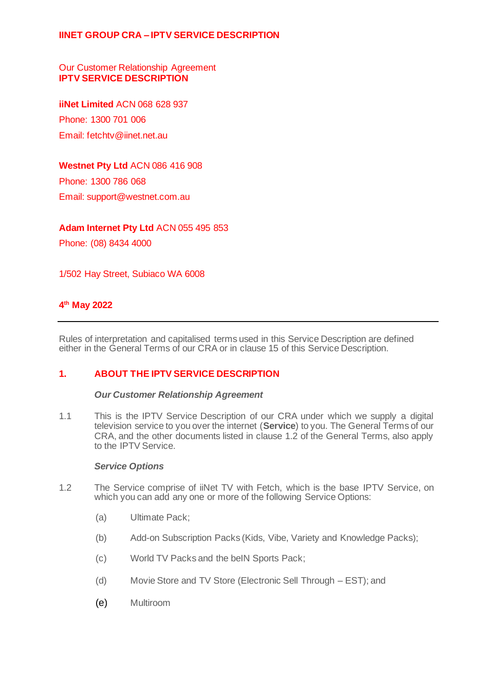Our Customer Relationship Agreement **IPTV SERVICE DESCRIPTION**

**iiNet Limited** ACN 068 628 937 Phone: 1300 701 006 Email: fetchtv@iinet.net.au

## **Westnet Pty Ltd** ACN 086 416 908

Phone: 1300 786 068 Email: support@westnet.com.au

### **Adam Internet Pty Ltd** ACN 055 495 853

Phone: (08) 8434 4000

1/502 Hay Street, Subiaco WA 6008

# **4 th May 2022**

Rules of interpretation and capitalised terms used in this Service Description are defined either in the General Terms of our CRA or in clause 15 of this Service Description.

# **1. ABOUT THE IPTV SERVICE DESCRIPTION**

#### *Our Customer Relationship Agreement*

1.1 This is the IPTV Service Description of our CRA under which we supply a digital television service to you over the internet (**Service**) to you. The General Terms of our CRA, and the other documents listed in clause 1.2 of the General Terms, also apply to the IPTV Service.

#### *Service Options*

- 1.2 The Service comprise of iiNet TV with Fetch, which is the base IPTV Service, on which you can add any one or more of the following Service Options:
	- (a) Ultimate Pack;
	- (b) Add-on Subscription Packs (Kids, Vibe, Variety and Knowledge Packs);
	- (c) World TV Packs and the beIN Sports Pack;
	- (d) Movie Store and TV Store (Electronic Sell Through EST); and
	- (e) Multiroom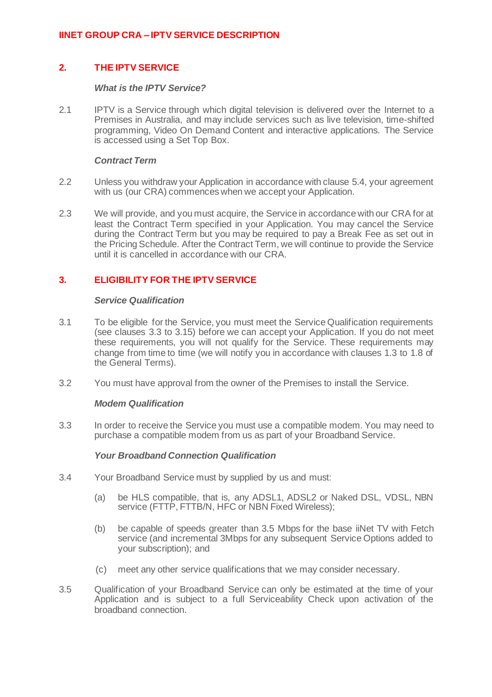# **2. THE IPTV SERVICE**

### *What is the IPTV Service?*

2.1 IPTV is a Service through which digital television is delivered over the Internet to a Premises in Australia, and may include services such as live television, time-shifted programming, Video On Demand Content and interactive applications. The Service is accessed using a Set Top Box.

### *Contract Term*

- 2.2 Unless you withdraw your Application in accordance with clause 5.4, your agreement with us (our CRA) commences when we accept your Application.
- 2.3 We will provide, and you must acquire, the Service in accordance with our CRA for at least the Contract Term specified in your Application. You may cancel the Service during the Contract Term but you may be required to pay a Break Fee as set out in the Pricing Schedule. After the Contract Term, we will continue to provide the Service until it is cancelled in accordance with our CRA.

# **3. ELIGIBILITY FOR THE IPTV SERVICE**

### *Service Qualification*

- 3.1 To be eligible for the Service, you must meet the Service Qualification requirements (see clauses 3.3 to 3.15) before we can accept your Application. If you do not meet these requirements, you will not qualify for the Service. These requirements may change from time to time (we will notify you in accordance with clauses 1.3 to 1.8 of the General Terms).
- 3.2 You must have approval from the owner of the Premises to install the Service.

# *Modem Qualification*

3.3 In order to receive the Service you must use a compatible modem. You may need to purchase a compatible modem from us as part of your Broadband Service.

# *Your Broadband Connection Qualification*

- 3.4 Your Broadband Service must by supplied by us and must:
	- (a) be HLS compatible, that is, any ADSL1, ADSL2 or Naked DSL, VDSL, NBN service (FTTP, FTTB/N, HFC or NBN Fixed Wireless);
	- (b) be capable of speeds greater than 3.5 Mbps for the base iiNet TV with Fetch service (and incremental 3Mbps for any subsequent Service Options added to your subscription); and
	- (c) meet any other service qualifications that we may consider necessary.
- 3.5 Qualification of your Broadband Service can only be estimated at the time of your Application and is subject to a full Serviceability Check upon activation of the broadband connection.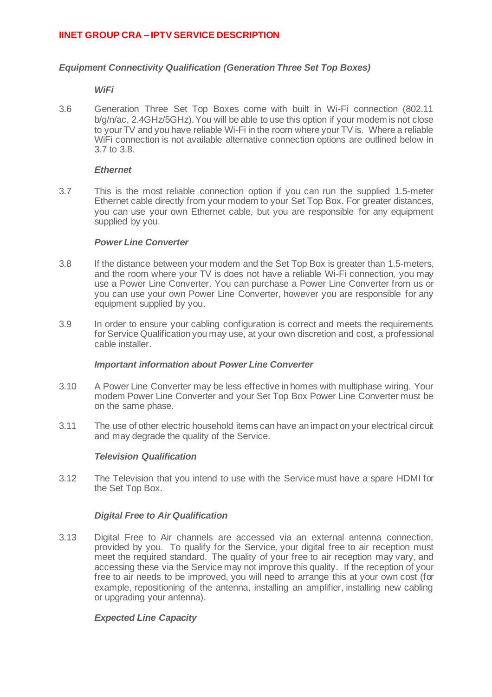## *Equipment Connectivity Qualification (Generation Three Set Top Boxes)*

#### *WiFi*

3.6 Generation Three Set Top Boxes come with built in Wi-Fi connection (802.11 b/g/n/ac, 2.4GHz/5GHz). You will be able to use this option if your modem is not close to your TV and you have reliable Wi-Fi in the room where your TV is. Where a reliable WiFi connection is not available alternative connection options are outlined below in 3.7 to 3.8.

#### *Ethernet*

3.7 This is the most reliable connection option if you can run the supplied 1.5-meter Ethernet cable directly from your modem to your Set Top Box. For greater distances, you can use your own Ethernet cable, but you are responsible for any equipment supplied by you.

#### *Power Line Converter*

- 3.8 If the distance between your modem and the Set Top Box is greater than 1.5-meters, and the room where your TV is does not have a reliable Wi-Fi connection, you may use a Power Line Converter. You can purchase a Power Line Converter from us or you can use your own Power Line Converter, however you are responsible for any equipment supplied by you.
- 3.9 In order to ensure your cabling configuration is correct and meets the requirements for Service Qualification you may use, at your own discretion and cost, a professional cable installer.

#### *Important information about Power Line Converter*

- 3.10 A Power Line Converter may be less effective in homes with multiphase wiring. Your modem Power Line Converter and your Set Top Box Power Line Converter must be on the same phase.
- 3.11 The use of other electric household items can have an impact on your electrical circuit and may degrade the quality of the Service.

#### *Television Qualification*

3.12 The Television that you intend to use with the Service must have a spare HDMI for the Set Top Box.

#### *Digital Free to Air Qualification*

3.13 Digital Free to Air channels are accessed via an external antenna connection, provided by you. To qualify for the Service, your digital free to air reception must meet the required standard. The quality of your free to air reception may vary, and accessing these via the Service may not improve this quality. If the reception of your free to air needs to be improved, you will need to arrange this at your own cost (for example, repositioning of the antenna, installing an amplifier, installing new cabling or upgrading your antenna).

#### *Expected Line Capacity*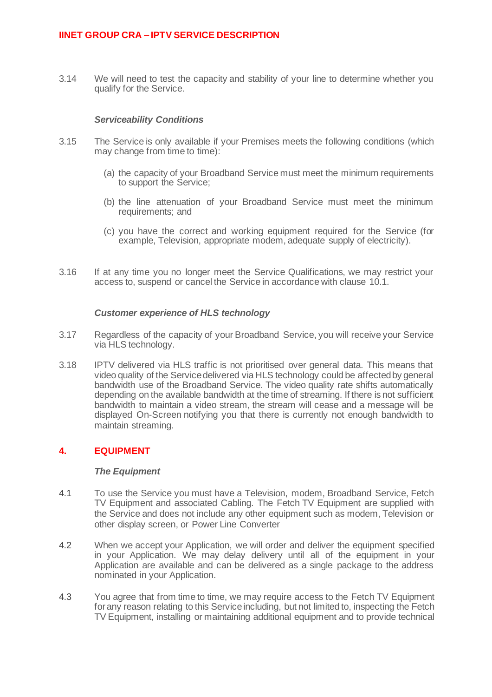3.14 We will need to test the capacity and stability of your line to determine whether you qualify for the Service.

#### *Serviceability Conditions*

- 3.15 The Service is only available if your Premises meets the following conditions (which may change from time to time):
	- (a) the capacity of your Broadband Service must meet the minimum requirements to support the Service;
	- (b) the line attenuation of your Broadband Service must meet the minimum requirements; and
	- (c) you have the correct and working equipment required for the Service (for example, Television, appropriate modem, adequate supply of electricity).
- 3.16 If at any time you no longer meet the Service Qualifications, we may restrict your access to, suspend or cancel the Service in accordance with clause 10.1.

### *Customer experience of HLS technology*

- 3.17 Regardless of the capacity of your Broadband Service, you will receive your Service via HLS technology.
- 3.18 IPTV delivered via HLS traffic is not prioritised over general data. This means that video quality of the Service delivered via HLS technology could be affected by general bandwidth use of the Broadband Service. The video quality rate shifts automatically depending on the available bandwidth at the time of streaming. If there is not sufficient bandwidth to maintain a video stream, the stream will cease and a message will be displayed On-Screen notifying you that there is currently not enough bandwidth to maintain streaming.

# **4. EQUIPMENT**

#### *The Equipment*

- 4.1 To use the Service you must have a Television, modem, Broadband Service, Fetch TV Equipment and associated Cabling. The Fetch TV Equipment are supplied with the Service and does not include any other equipment such as modem, Television or other display screen, or Power Line Converter
- 4.2 When we accept your Application, we will order and deliver the equipment specified in your Application. We may delay delivery until all of the equipment in your Application are available and can be delivered as a single package to the address nominated in your Application.
- 4.3 You agree that from time to time, we may require access to the Fetch TV Equipment for any reason relating to this Service including, but not limited to, inspecting the Fetch TV Equipment, installing or maintaining additional equipment and to provide technical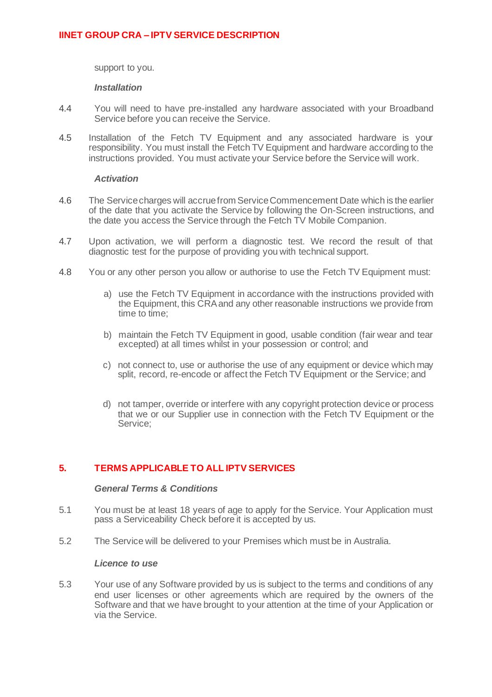support to you.

### *Installation*

- 4.4 You will need to have pre-installed any hardware associated with your Broadband Service before you can receive the Service.
- 4.5 Installation of the Fetch TV Equipment and any associated hardware is your responsibility. You must install the Fetch TV Equipment and hardware according to the instructions provided. You must activate your Service before the Service will work.

### *Activation*

- 4.6 The Service charges will accrue from Service Commencement Date which is the earlier of the date that you activate the Service by following the On-Screen instructions, and the date you access the Service through the Fetch TV Mobile Companion.
- 4.7 Upon activation, we will perform a diagnostic test. We record the result of that diagnostic test for the purpose of providing you with technical support.
- 4.8 You or any other person you allow or authorise to use the Fetch TV Equipment must:
	- a) use the Fetch TV Equipment in accordance with the instructions provided with the Equipment, this CRA and any other reasonable instructions we provide from time to time;
	- b) maintain the Fetch TV Equipment in good, usable condition (fair wear and tear excepted) at all times whilst in your possession or control; and
	- c) not connect to, use or authorise the use of any equipment or device which may split, record, re-encode or affect the Fetch TV Equipment or the Service; and
	- d) not tamper, override or interfere with any copyright protection device or process that we or our Supplier use in connection with the Fetch TV Equipment or the Service;

# **5. TERMS APPLICABLE TO ALL IPTV SERVICES**

### *General Terms & Conditions*

- 5.1 You must be at least 18 years of age to apply for the Service. Your Application must pass a Serviceability Check before it is accepted by us.
- 5.2 The Service will be delivered to your Premises which must be in Australia.

#### *Licence to use*

5.3 Your use of any Software provided by us is subject to the terms and conditions of any end user licenses or other agreements which are required by the owners of the Software and that we have brought to your attention at the time of your Application or via the Service.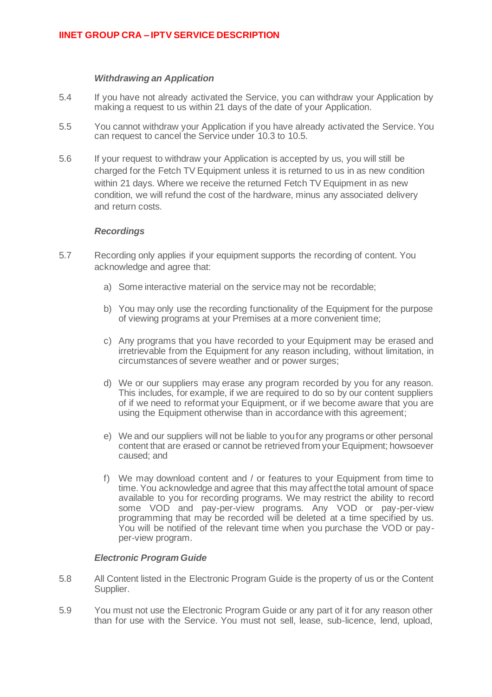### *Withdrawing an Application*

- 5.4 If you have not already activated the Service, you can withdraw your Application by making a request to us within 21 days of the date of your Application.
- 5.5 You cannot withdraw your Application if you have already activated the Service. You can request to cancel the Service under 10.3 to 10.5.
- 5.6 If your request to withdraw your Application is accepted by us, you will still be charged for the Fetch TV Equipment unless it is returned to us in as new condition within 21 days. Where we receive the returned Fetch TV Equipment in as new condition, we will refund the cost of the hardware, minus any associated delivery and return costs.

### *Recordings*

- 5.7 Recording only applies if your equipment supports the recording of content. You acknowledge and agree that:
	- a) Some interactive material on the service may not be recordable;
	- b) You may only use the recording functionality of the Equipment for the purpose of viewing programs at your Premises at a more convenient time;
	- c) Any programs that you have recorded to your Equipment may be erased and irretrievable from the Equipment for any reason including, without limitation, in circumstances of severe weather and or power surges;
	- d) We or our suppliers may erase any program recorded by you for any reason. This includes, for example, if we are required to do so by our content suppliers of if we need to reformat your Equipment, or if we become aware that you are using the Equipment otherwise than in accordance with this agreement;
	- e) We and our suppliers will not be liable to you for any programs or other personal content that are erased or cannot be retrieved from your Equipment; howsoever caused; and
	- f) We may download content and / or features to your Equipment from time to time. You acknowledge and agree that this may affect the total amount of space available to you for recording programs. We may restrict the ability to record some VOD and pay-per-view programs. Any VOD or pay-per-view programming that may be recorded will be deleted at a time specified by us. You will be notified of the relevant time when you purchase the VOD or payper-view program.

#### *Electronic Program Guide*

- 5.8 All Content listed in the Electronic Program Guide is the property of us or the Content Supplier.
- 5.9 You must not use the Electronic Program Guide or any part of it for any reason other than for use with the Service. You must not sell, lease, sub-licence, lend, upload,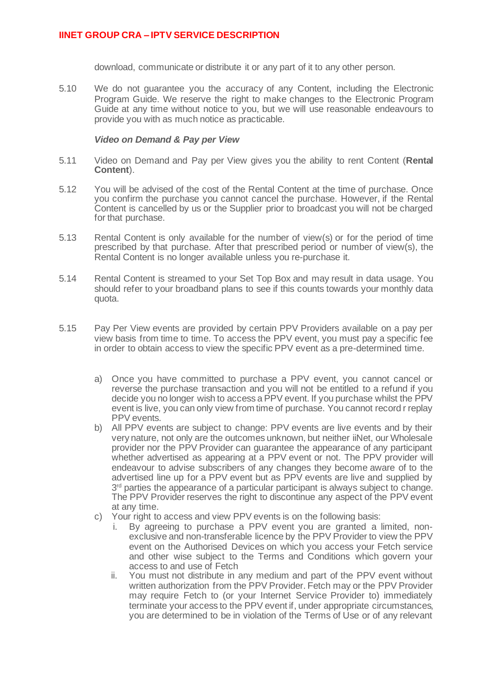download, communicate or distribute it or any part of it to any other person.

5.10 We do not guarantee you the accuracy of any Content, including the Electronic Program Guide. We reserve the right to make changes to the Electronic Program Guide at any time without notice to you, but we will use reasonable endeavours to provide you with as much notice as practicable.

#### *Video on Demand & Pay per View*

- 5.11 Video on Demand and Pay per View gives you the ability to rent Content (**Rental Content**).
- 5.12 You will be advised of the cost of the Rental Content at the time of purchase. Once you confirm the purchase you cannot cancel the purchase. However, if the Rental Content is cancelled by us or the Supplier prior to broadcast you will not be charged for that purchase.
- 5.13 Rental Content is only available for the number of view(s) or for the period of time prescribed by that purchase. After that prescribed period or number of view(s), the Rental Content is no longer available unless you re-purchase it.
- 5.14 Rental Content is streamed to your Set Top Box and may result in data usage. You should refer to your broadband plans to see if this counts towards your monthly data quota.
- 5.15 Pay Per View events are provided by certain PPV Providers available on a pay per view basis from time to time. To access the PPV event, you must pay a specific fee in order to obtain access to view the specific PPV event as a pre-determined time.
	- a) Once you have committed to purchase a PPV event, you cannot cancel or reverse the purchase transaction and you will not be entitled to a refund if you decide you no longer wish to access a PPV event. If you purchase whilst the PPV event is live, you can only view from time of purchase. You cannot record r replay PPV events.
	- b) All PPV events are subject to change: PPV events are live events and by their very nature, not only are the outcomes unknown, but neither iiNet, our Wholesale provider nor the PPV Provider can guarantee the appearance of any participant whether advertised as appearing at a PPV event or not. The PPV provider will endeavour to advise subscribers of any changes they become aware of to the advertised line up for a PPV event but as PPV events are live and supplied by 3<sup>rd</sup> parties the appearance of a particular participant is always subject to change. The PPV Provider reserves the right to discontinue any aspect of the PPV event at any time.
	- c) Your right to access and view PPV events is on the following basis:
		- i. By agreeing to purchase a PPV event you are granted a limited, nonexclusive and non-transferable licence by the PPV Provider to view the PPV event on the Authorised Devices on which you access your Fetch service and other wise subject to the Terms and Conditions which govern your access to and use of Fetch
		- ii. You must not distribute in any medium and part of the PPV event without written authorization from the PPV Provider. Fetch may or the PPV Provider may require Fetch to (or your Internet Service Provider to) immediately terminate your access to the PPV event if, under appropriate circumstances, you are determined to be in violation of the Terms of Use or of any relevant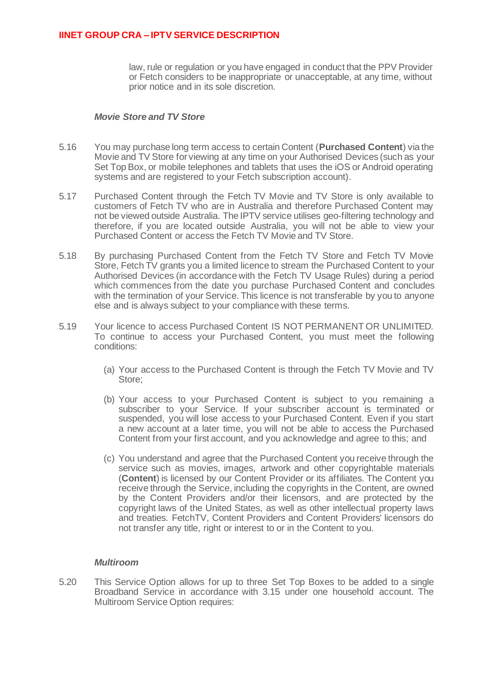law, rule or regulation or you have engaged in conduct that the PPV Provider or Fetch considers to be inappropriate or unacceptable, at any time, without prior notice and in its sole discretion.

## *Movie Store and TV Store*

- 5.16 You may purchase long term access to certain Content (**Purchased Content**) via the Movie and TV Store for viewing at any time on your Authorised Devices (such as your Set Top Box, or mobile telephones and tablets that uses the iOS or Android operating systems and are registered to your Fetch subscription account).
- 5.17 Purchased Content through the Fetch TV Movie and TV Store is only available to customers of Fetch TV who are in Australia and therefore Purchased Content may not be viewed outside Australia. The IPTV service utilises geo-filtering technology and therefore, if you are located outside Australia, you will not be able to view your Purchased Content or access the Fetch TV Movie and TV Store.
- 5.18 By purchasing Purchased Content from the Fetch TV Store and Fetch TV Movie Store, Fetch TV grants you a limited licence to stream the Purchased Content to your Authorised Devices (in accordance with the Fetch TV Usage Rules) during a period which commences from the date you purchase Purchased Content and concludes with the termination of your Service. This licence is not transferable by you to anyone else and is always subject to your compliance with these terms.
- 5.19 Your licence to access Purchased Content IS NOT PERMANENT OR UNLIMITED. To continue to access your Purchased Content, you must meet the following conditions:
	- (a) Your access to the Purchased Content is through the Fetch TV Movie and TV Store;
	- (b) Your access to your Purchased Content is subject to you remaining a subscriber to your Service. If your subscriber account is terminated or suspended, you will lose access to your Purchased Content. Even if you start a new account at a later time, you will not be able to access the Purchased Content from your first account, and you acknowledge and agree to this; and
	- (c) You understand and agree that the Purchased Content you receive through the service such as movies, images, artwork and other copyrightable materials (**Content**) is licensed by our Content Provider or its affiliates. The Content you receive through the Service, including the copyrights in the Content, are owned by the Content Providers and/or their licensors, and are protected by the copyright laws of the United States, as well as other intellectual property laws and treaties. FetchTV, Content Providers and Content Providers' licensors do not transfer any title, right or interest to or in the Content to you.

#### *Multiroom*

5.20 This Service Option allows for up to three Set Top Boxes to be added to a single Broadband Service in accordance with 3.15 under one household account. The Multiroom Service Option requires: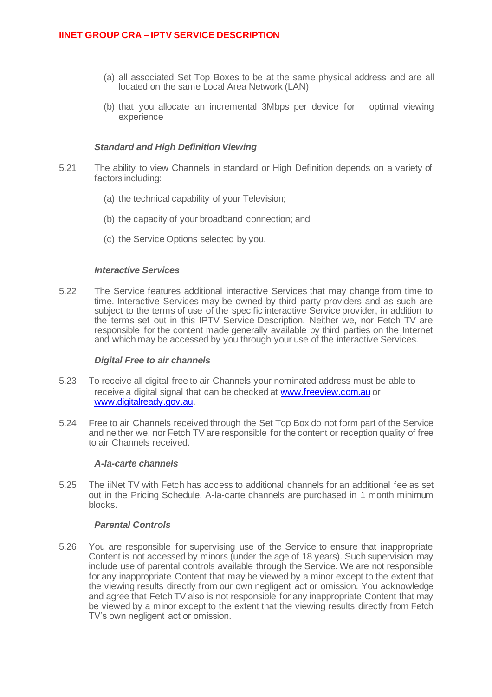- (a) all associated Set Top Boxes to be at the same physical address and are all located on the same Local Area Network (LAN)
- (b) that you allocate an incremental 3Mbps per device for optimal viewing experience

### *Standard and High Definition Viewing*

- 5.21 The ability to view Channels in standard or High Definition depends on a variety of factors including:
	- (a) the technical capability of your Television;
	- (b) the capacity of your broadband connection; and
	- (c) the Service Options selected by you.

### *Interactive Services*

5.22 The Service features additional interactive Services that may change from time to time. Interactive Services may be owned by third party providers and as such are subject to the terms of use of the specific interactive Service provider, in addition to the terms set out in this IPTV Service Description. Neither we, nor Fetch TV are responsible for the content made generally available by third parties on the Internet and which may be accessed by you through your use of the interactive Services.

#### *Digital Free to air channels*

- 5.23 To receive all digital free to air Channels your nominated address must be able to receive a digital signal that can be checked at www.freeview.com.au or www.digitalready.gov.au.
- 5.24 Free to air Channels received through the Set Top Box do not form part of the Service and neither we, nor Fetch TV are responsible for the content or reception quality of free to air Channels received.

#### *A-la-carte channels*

5.25 The iiNet TV with Fetch has access to additional channels for an additional fee as set out in the Pricing Schedule. A-la-carte channels are purchased in 1 month minimum blocks.

#### *Parental Controls*

5.26 You are responsible for supervising use of the Service to ensure that inappropriate Content is not accessed by minors (under the age of 18 years). Such supervision may include use of parental controls available through the Service. We are not responsible for any inappropriate Content that may be viewed by a minor except to the extent that the viewing results directly from our own negligent act or omission. You acknowledge and agree that Fetch TV also is not responsible for any inappropriate Content that may be viewed by a minor except to the extent that the viewing results directly from Fetch TV's own negligent act or omission.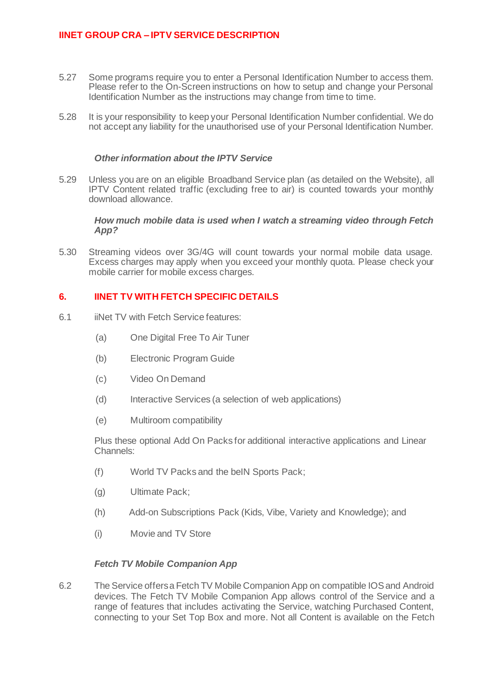- 5.27 Some programs require you to enter a Personal Identification Number to access them. Please refer to the On-Screen instructions on how to setup and change your Personal Identification Number as the instructions may change from time to time.
- 5.28 It is your responsibility to keep your Personal Identification Number confidential. We do not accept any liability for the unauthorised use of your Personal Identification Number.

### *Other information about the IPTV Service*

5.29 Unless you are on an eligible Broadband Service plan (as detailed on the Website), all IPTV Content related traffic (excluding free to air) is counted towards your monthly download allowance.

*How much mobile data is used when I watch a streaming video through Fetch App?* 

5.30 Streaming videos over 3G/4G will count towards your normal mobile data usage. Excess charges may apply when you exceed your monthly quota. Please check your mobile carrier for mobile excess charges.

# **6. IINET TV WITH FETCH SPECIFIC DETAILS**

- 6.1 iiNet TV with Fetch Service features:
	- (a) One Digital Free To Air Tuner
	- (b) Electronic Program Guide
	- (c) Video On Demand
	- (d) Interactive Services (a selection of web applications)
	- (e) Multiroom compatibility

Plus these optional Add On Packs for additional interactive applications and Linear Channels:

- (f) World TV Packs and the beIN Sports Pack;
- (g) Ultimate Pack;
- (h) Add-on Subscriptions Pack (Kids, Vibe, Variety and Knowledge); and
- (i) Movie and TV Store

#### *Fetch TV Mobile Companion App*

6.2 The Service offers a Fetch TV Mobile Companion App on compatible IOS and Android devices. The Fetch TV Mobile Companion App allows control of the Service and a range of features that includes activating the Service, watching Purchased Content, connecting to your Set Top Box and more. Not all Content is available on the Fetch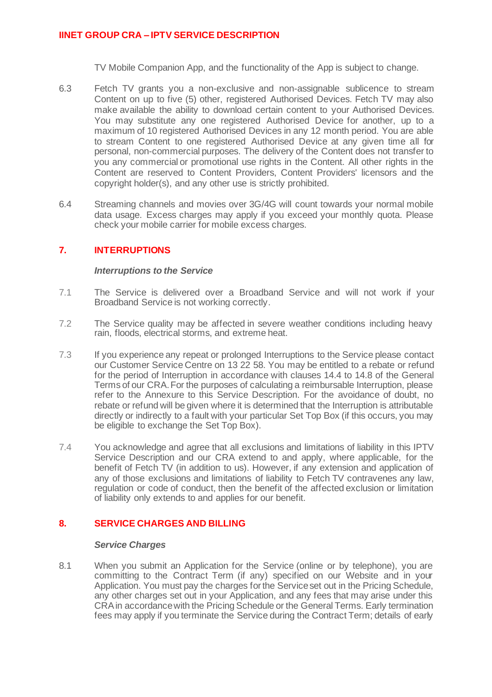TV Mobile Companion App, and the functionality of the App is subject to change.

- 6.3 Fetch TV grants you a non-exclusive and non-assignable sublicence to stream Content on up to five (5) other, registered Authorised Devices. Fetch TV may also make available the ability to download certain content to your Authorised Devices. You may substitute any one registered Authorised Device for another, up to a maximum of 10 registered Authorised Devices in any 12 month period. You are able to stream Content to one registered Authorised Device at any given time all for personal, non-commercial purposes. The delivery of the Content does not transfer to you any commercial or promotional use rights in the Content. All other rights in the Content are reserved to Content Providers, Content Providers' licensors and the copyright holder(s), and any other use is strictly prohibited.
- 6.4 Streaming channels and movies over 3G/4G will count towards your normal mobile data usage. Excess charges may apply if you exceed your monthly quota. Please check your mobile carrier for mobile excess charges.

# **7. INTERRUPTIONS**

#### *Interruptions to the Service*

- 7.1 The Service is delivered over a Broadband Service and will not work if your Broadband Service is not working correctly.
- 7.2 The Service quality may be affected in severe weather conditions including heavy rain, floods, electrical storms, and extreme heat.
- 7.3 If you experience any repeat or prolonged Interruptions to the Service please contact our Customer Service Centre on 13 22 58. You may be entitled to a rebate or refund for the period of Interruption in accordance with clauses 14.4 to 14.8 of the General Terms of our CRA. For the purposes of calculating a reimbursable Interruption, please refer to the Annexure to this Service Description. For the avoidance of doubt, no rebate or refund will be given where it is determined that the Interruption is attributable directly or indirectly to a fault with your particular Set Top Box (if this occurs, you may be eligible to exchange the Set Top Box).
- 7.4 You acknowledge and agree that all exclusions and limitations of liability in this IPTV Service Description and our CRA extend to and apply, where applicable, for the benefit of Fetch TV (in addition to us). However, if any extension and application of any of those exclusions and limitations of liability to Fetch TV contravenes any law, regulation or code of conduct, then the benefit of the affected exclusion or limitation of liability only extends to and applies for our benefit.

# **8. SERVICE CHARGES AND BILLING**

#### *Service Charges*

8.1 When you submit an Application for the Service (online or by telephone), you are committing to the Contract Term (if any) specified on our Website and in your Application. You must pay the charges for the Service set out in the Pricing Schedule, any other charges set out in your Application, and any fees that may arise under this CRA in accordance with the Pricing Schedule or the General Terms. Early termination fees may apply if you terminate the Service during the Contract Term; details of early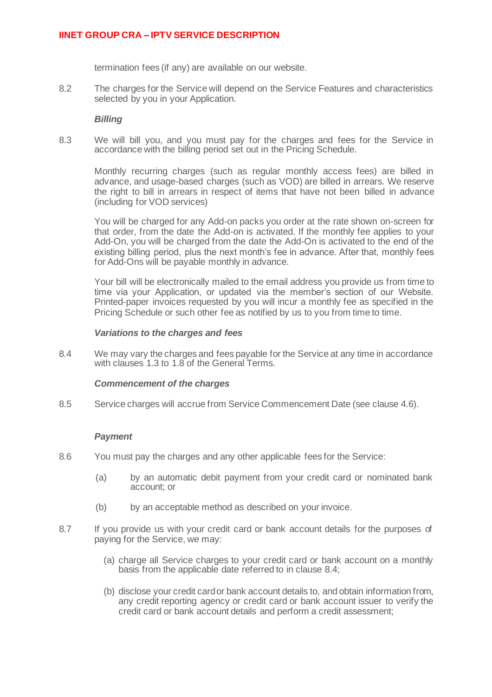termination fees (if any) are available on our website.

8.2 The charges for the Service will depend on the Service Features and characteristics selected by you in your Application.

#### *Billing*

8.3 We will bill you, and you must pay for the charges and fees for the Service in accordance with the billing period set out in the Pricing Schedule.

Monthly recurring charges (such as regular monthly access fees) are billed in advance, and usage-based charges (such as VOD) are billed in arrears. We reserve the right to bill in arrears in respect of items that have not been billed in advance (including for VOD services)

You will be charged for any Add-on packs you order at the rate shown on-screen for that order, from the date the Add-on is activated. If the monthly fee applies to your Add-On, you will be charged from the date the Add-On is activated to the end of the existing billing period, plus the next month's fee in advance. After that, monthly fees for Add-Ons will be payable monthly in advance.

Your bill will be electronically mailed to the email address you provide us from time to time via your Application, or updated via the member's section of our Website. Printed-paper invoices requested by you will incur a monthly fee as specified in the Pricing Schedule or such other fee as notified by us to you from time to time.

#### *Variations to the charges and fees*

8.4 We may vary the charges and fees payable for the Service at any time in accordance with clauses 1.3 to 1.8 of the General Terms.

#### *Commencement of the charges*

8.5 Service charges will accrue from Service Commencement Date (see clause 4.6).

#### *Payment*

- 8.6 You must pay the charges and any other applicable fees for the Service:
	- (a) by an automatic debit payment from your credit card or nominated bank account; or
	- (b) by an acceptable method as described on your invoice.
- 8.7 If you provide us with your credit card or bank account details for the purposes of paying for the Service, we may:
	- (a) charge all Service charges to your credit card or bank account on a monthly basis from the applicable date referred to in clause 8.4;
	- (b) disclose your credit card or bank account details to, and obtain information from, any credit reporting agency or credit card or bank account issuer to verify the credit card or bank account details and perform a credit assessment;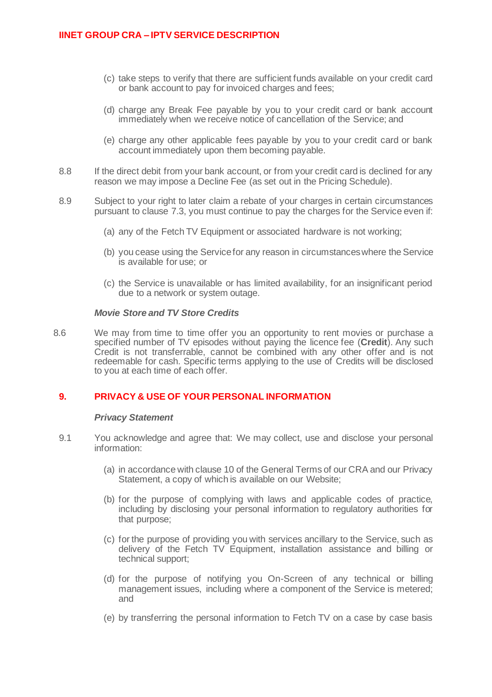- (c) take steps to verify that there are sufficient funds available on your credit card or bank account to pay for invoiced charges and fees;
- (d) charge any Break Fee payable by you to your credit card or bank account immediately when we receive notice of cancellation of the Service; and
- (e) charge any other applicable fees payable by you to your credit card or bank account immediately upon them becoming payable.
- 8.8 If the direct debit from your bank account, or from your credit card is declined for any reason we may impose a Decline Fee (as set out in the Pricing Schedule).
- 8.9 Subject to your right to later claim a rebate of your charges in certain circumstances pursuant to clause 7.3, you must continue to pay the charges for the Service even if:
	- (a) any of the Fetch TV Equipment or associated hardware is not working;
	- (b) you cease using the Service for any reason in circumstances where the Service is available for use; or
	- (c) the Service is unavailable or has limited availability, for an insignificant period due to a network or system outage.

#### *Movie Store and TV Store Credits*

8.6 We may from time to time offer you an opportunity to rent movies or purchase a specified number of TV episodes without paying the licence fee (**Credit**). Any such Credit is not transferrable, cannot be combined with any other offer and is not redeemable for cash. Specific terms applying to the use of Credits will be disclosed to you at each time of each offer.

# **9. PRIVACY & USE OF YOUR PERSONAL INFORMATION**

#### *Privacy Statement*

- 9.1 You acknowledge and agree that: We may collect, use and disclose your personal information:
	- (a) in accordance with clause 10 of the General Terms of our CRA and our Privacy Statement, a copy of which is available on our Website;
	- (b) for the purpose of complying with laws and applicable codes of practice, including by disclosing your personal information to regulatory authorities for that purpose;
	- (c) for the purpose of providing you with services ancillary to the Service, such as delivery of the Fetch TV Equipment, installation assistance and billing or technical support;
	- (d) for the purpose of notifying you On-Screen of any technical or billing management issues, including where a component of the Service is metered; and
	- (e) by transferring the personal information to Fetch TV on a case by case basis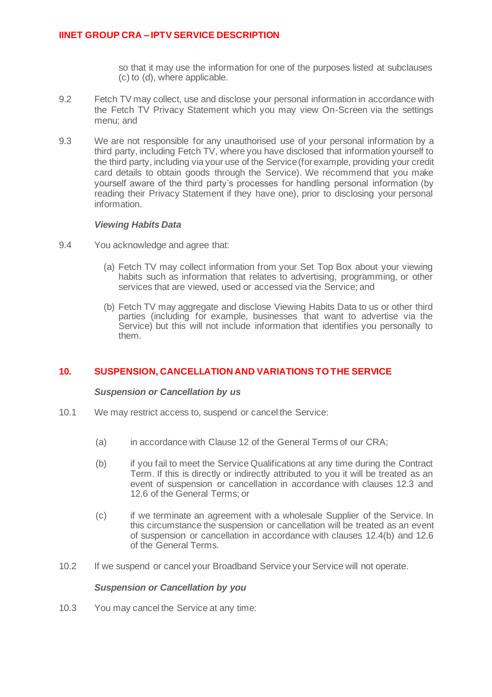so that it may use the information for one of the purposes listed at subclauses (c) to (d), where applicable.

- 9.2 Fetch TV may collect, use and disclose your personal information in accordance with the Fetch TV Privacy Statement which you may view On-Screen via the settings menu; and
- 9.3 We are not responsible for any unauthorised use of your personal information by a third party, including Fetch TV, where you have disclosed that information yourself to the third party, including via your use of the Service (for example, providing your credit card details to obtain goods through the Service). We recommend that you make yourself aware of the third party's processes for handling personal information (by reading their Privacy Statement if they have one), prior to disclosing your personal information.

### *Viewing Habits Data*

- 9.4 You acknowledge and agree that:
	- (a) Fetch TV may collect information from your Set Top Box about your viewing habits such as information that relates to advertising, programming, or other services that are viewed, used or accessed via the Service; and
	- (b) Fetch TV may aggregate and disclose Viewing Habits Data to us or other third parties (including for example, businesses that want to advertise via the Service) but this will not include information that identifies you personally to them.

# **10. SUSPENSION, CANCELLATION AND VARIATIONS TO THE SERVICE**

#### *Suspension or Cancellation by us*

- 10.1 We may restrict access to, suspend or cancel the Service:
	- (a) in accordance with Clause 12 of the General Terms of our CRA;
	- (b) if you fail to meet the Service Qualifications at any time during the Contract Term. If this is directly or indirectly attributed to you it will be treated as an event of suspension or cancellation in accordance with clauses 12.3 and 12.6 of the General Terms; or
	- (c) if we terminate an agreement with a wholesale Supplier of the Service. In this circumstance the suspension or cancellation will be treated as an event of suspension or cancellation in accordance with clauses 12.4(b) and 12.6 of the General Terms.
- 10.2 If we suspend or cancel your Broadband Service your Service will not operate.

### *Suspension or Cancellation by you*

10.3 You may cancel the Service at any time: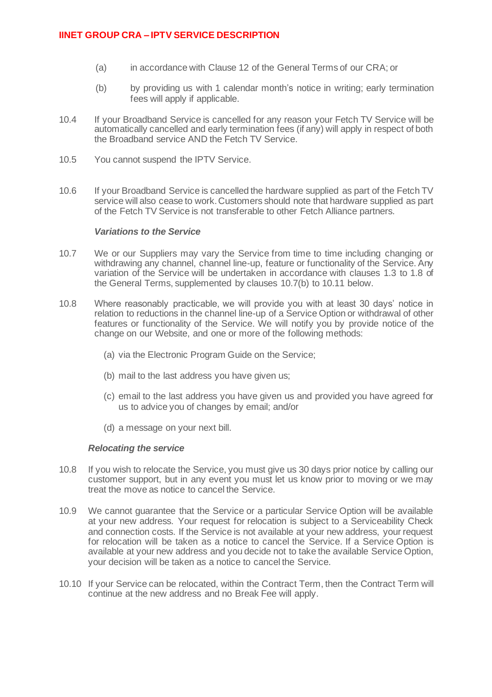- (a) in accordance with Clause 12 of the General Terms of our CRA; or
- (b) by providing us with 1 calendar month's notice in writing; early termination fees will apply if applicable.
- 10.4 If your Broadband Service is cancelled for any reason your Fetch TV Service will be automatically cancelled and early termination fees (if any) will apply in respect of both the Broadband service AND the Fetch TV Service.
- 10.5 You cannot suspend the IPTV Service.
- 10.6 If your Broadband Service is cancelled the hardware supplied as part of the Fetch TV service will also cease to work. Customers should note that hardware supplied as part of the Fetch TV Service is not transferable to other Fetch Alliance partners.

### *Variations to the Service*

- 10.7 We or our Suppliers may vary the Service from time to time including changing or withdrawing any channel, channel line-up, feature or functionality of the Service. Any variation of the Service will be undertaken in accordance with clauses 1.3 to 1.8 of the General Terms, supplemented by clauses 10.7(b) to 10.11 below.
- 10.8 Where reasonably practicable, we will provide you with at least 30 days' notice in relation to reductions in the channel line-up of a Service Option or withdrawal of other features or functionality of the Service. We will notify you by provide notice of the change on our Website, and one or more of the following methods:
	- (a) via the Electronic Program Guide on the Service;
	- (b) mail to the last address you have given us;
	- (c) email to the last address you have given us and provided you have agreed for us to advice you of changes by email; and/or
	- (d) a message on your next bill.

#### *Relocating the service*

- 10.8 If you wish to relocate the Service, you must give us 30 days prior notice by calling our customer support, but in any event you must let us know prior to moving or we may treat the move as notice to cancel the Service.
- 10.9 We cannot guarantee that the Service or a particular Service Option will be available at your new address. Your request for relocation is subject to a Serviceability Check and connection costs. If the Service is not available at your new address, your request for relocation will be taken as a notice to cancel the Service. If a Service Option is available at your new address and you decide not to take the available Service Option, your decision will be taken as a notice to cancel the Service.
- 10.10 If your Service can be relocated, within the Contract Term, then the Contract Term will continue at the new address and no Break Fee will apply.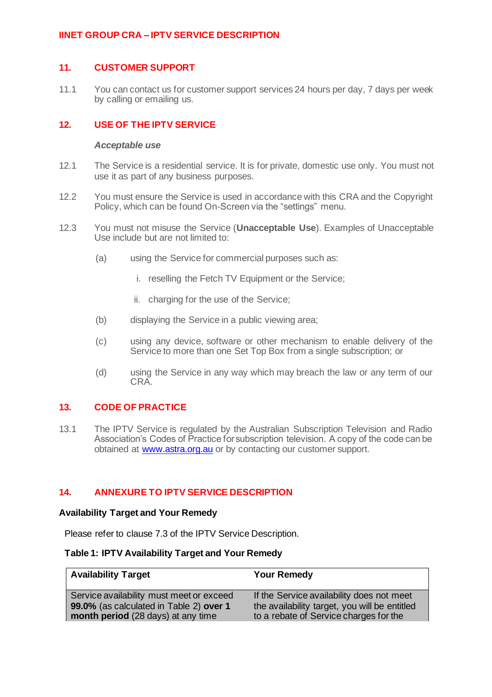# **11. CUSTOMER SUPPORT**

11.1 You can contact us for customer support services 24 hours per day, 7 days per week by calling or emailing us.

# **12. USE OF THE IPTV SERVICE**

#### *Acceptable use*

- 12.1 The Service is a residential service. It is for private, domestic use only. You must not use it as part of any business purposes.
- 12.2 You must ensure the Service is used in accordance with this CRA and the Copyright Policy, which can be found On-Screen via the "settings" menu.
- 12.3 You must not misuse the Service (**Unacceptable Use**). Examples of Unacceptable Use include but are not limited to:
	- (a) using the Service for commercial purposes such as:
		- i. reselling the Fetch TV Equipment or the Service;
		- ii. charging for the use of the Service;
	- (b) displaying the Service in a public viewing area;
	- (c) using any device, software or other mechanism to enable delivery of the Service to more than one Set Top Box from a single subscription; or
	- (d) using the Service in any way which may breach the law or any term of our CRA.

# **13. CODE OF PRACTICE**

13.1 The IPTV Service is regulated by the Australian Subscription Television and Radio Association's Codes of Practice for subscription television. A copy of the code can be obtained at www.astra.org.au or by contacting our customer support.

#### **14. ANNEXURE TO IPTV SERVICE DESCRIPTION**

### **Availability Target and Your Remedy**

Please refer to clause 7.3 of the IPTV Service Description.

#### **Table 1: IPTV Availability Target and Your Remedy**

| <b>Availability Target</b>               | <b>Your Remedy</b>                            |
|------------------------------------------|-----------------------------------------------|
| Service availability must meet or exceed | If the Service availability does not meet     |
| 99.0% (as calculated in Table 2) over 1  | the availability target, you will be entitled |
| month period (28 days) at any time       | to a rebate of Service charges for the        |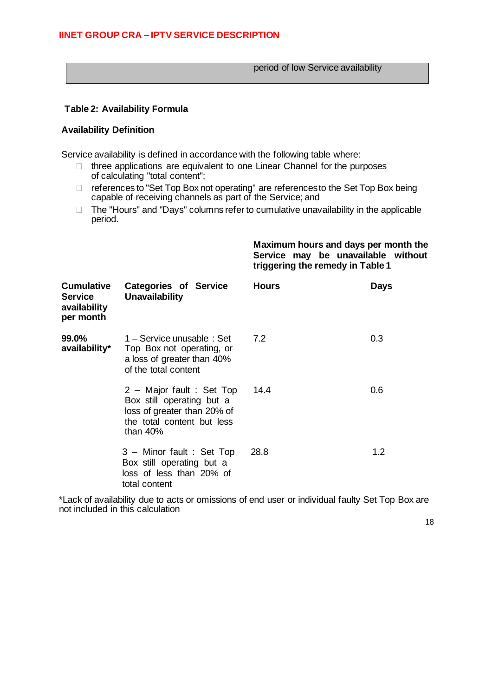period of low Service availability

# **Table 2: Availability Formula**

#### **Availability Definition**

Service availability is defined in accordance with the following table where:

- $\Box$  three applications are equivalent to one Linear Channel for the purposes of calculating "total content";
- □ references to "Set Top Box not operating" are references to the Set Top Box being capable of receiving channels as part of the Service; and
- $\Box$  The "Hours" and "Days" columns refer to cumulative unavailability in the applicable period.

**Maximum hours and days per month the Service may be unavailable without triggering the remedy in Table 1**

| <b>Cumulative</b><br><b>Service</b><br>availability<br>per month | <b>Categories of Service</b><br>Unavailability                                                                                    | <b>Hours</b> | Days |
|------------------------------------------------------------------|-----------------------------------------------------------------------------------------------------------------------------------|--------------|------|
| 99.0%<br>availability*                                           | 1 – Service unusable : Set<br>Top Box not operating, or<br>a loss of greater than 40%<br>of the total content                     | 7.2          | 0.3  |
|                                                                  | 2 - Major fault : Set Top<br>Box still operating but a<br>loss of greater than 20% of<br>the total content but less<br>than $40%$ | 14.4         | 0.6  |
|                                                                  | 3 - Minor fault : Set Top<br>Box still operating but a<br>loss of less than 20% of<br>total content                               | 28.8         | 1.2  |

\*Lack of availability due to acts or omissions of end user or individual faulty Set Top Box are not included in this calculation

18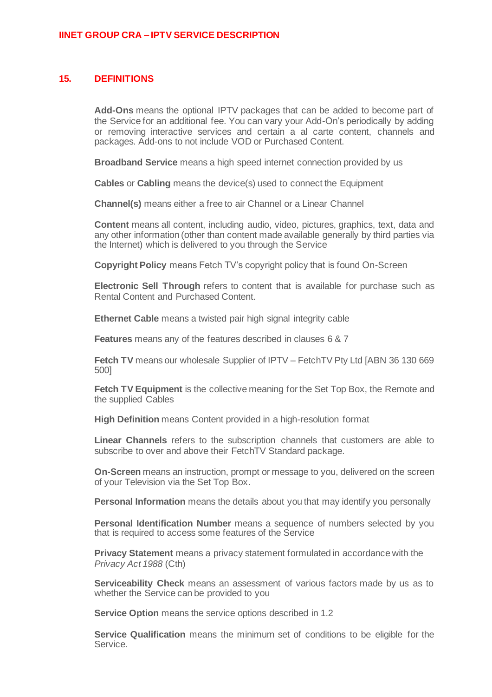# **15. DEFINITIONS**

**Add-Ons** means the optional IPTV packages that can be added to become part of the Service for an additional fee. You can vary your Add-On's periodically by adding or removing interactive services and certain a al carte content, channels and packages. Add-ons to not include VOD or Purchased Content.

**Broadband Service** means a high speed internet connection provided by us

**Cables** or **Cabling** means the device(s) used to connect the Equipment

**Channel(s)** means either a free to air Channel or a Linear Channel

**Content** means all content, including audio, video, pictures, graphics, text, data and any other information (other than content made available generally by third parties via the Internet) which is delivered to you through the Service

**Copyright Policy** means Fetch TV's copyright policy that is found On-Screen

**Electronic Sell Through** refers to content that is available for purchase such as Rental Content and Purchased Content.

**Ethernet Cable** means a twisted pair high signal integrity cable

**Features** means any of the features described in clauses 6 & 7

**Fetch TV** means our wholesale Supplier of IPTV – FetchTV Pty Ltd [ABN 36 130 669 500]

**Fetch TV Equipment** is the collective meaning for the Set Top Box, the Remote and the supplied Cables

**High Definition** means Content provided in a high-resolution format

**Linear Channels** refers to the subscription channels that customers are able to subscribe to over and above their FetchTV Standard package.

**On-Screen** means an instruction, prompt or message to you, delivered on the screen of your Television via the Set Top Box.

**Personal Information** means the details about you that may identify you personally

**Personal Identification Number** means a sequence of numbers selected by you that is required to access some features of the Service

**Privacy Statement** means a privacy statement formulated in accordance with the *Privacy Act 1988* (Cth)

**Serviceability Check** means an assessment of various factors made by us as to whether the Service can be provided to you

**Service Option** means the service options described in 1.2

**Service Qualification** means the minimum set of conditions to be eligible for the Service.